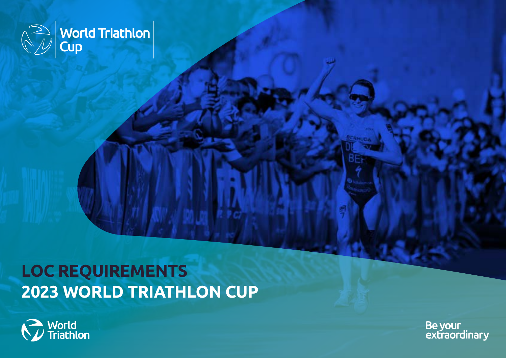

# **LOC REQUIREMENTS 2023 WORLD TRIATHLON CUP**



Be your<br>extraordinary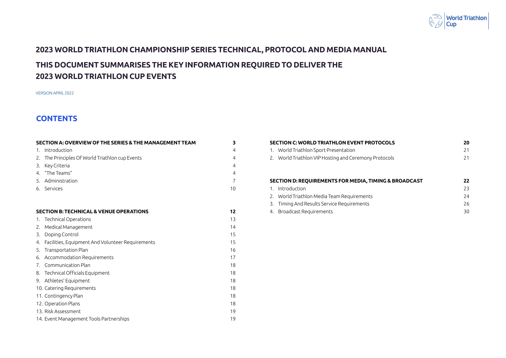

### <span id="page-1-0"></span>**2023 WORLD TRIATHLON CHAMPIONSHIP SERIES TECHNICAL, PROTOCOL AND MEDIA MANUAL**

## **THIS DOCUMENT SUMMARISES THE KEY INFORMATION REQUIRED TO DELIVER THE 2023 WORLD TRIATHLON CUP EVENTS**

VERSION APRIL 2022

### **CONTENTS**

| SECTION A: OVERVIEW OF THE SERIES & THE MANAGEMENT TEAM | 3              |
|---------------------------------------------------------|----------------|
| 1. Introduction                                         | $\overline{4}$ |
| 2. The Principles Of World Triathlon cup Events         | $\overline{4}$ |
| 3. Key Criteria                                         | $\overline{4}$ |
| 4. "The Teams"                                          | $\overline{4}$ |
| 5. Administration                                       | $\overline{7}$ |
| 6. Services                                             | 10             |
|                                                         |                |
| <b>SECTION B: TECHNICAL &amp; VENUE OPERATIONS</b>      | 12             |
| 1. Technical Operations                                 | 13             |
| 2. Medical Management                                   | 14             |
| 3. Doping Control                                       | 15             |
| 4. Facilities, Equipment And Volunteer Requirements     | 15             |
| 5. Transportation Plan                                  | 16             |
| 6. Accommodation Requirements                           | 17             |
| 7. Communication Plan                                   | 18             |
| 8. Technical Officials Equipment                        | 18             |
| 9. Athletes' Equipment                                  | 18             |
| 10. Catering Requirements                               | 18             |
| 11. Contingency Plan                                    | 18             |
| 12. Operation Plans                                     | 18             |
| 13. Risk Assessment                                     | 19             |
| 14. Event Management Tools Partnerships                 | 19             |

| <b>SECTION C: WORLD TRIATHLON EVENT PROTOCOLS</b>                | 20 |
|------------------------------------------------------------------|----|
| World Triathlon Sport Presentation<br>1.                         | 21 |
| 2. World Triathlon VIP Hosting and Ceremony Protocols            | 21 |
|                                                                  |    |
|                                                                  |    |
| <b>SECTION D: REQUIREMENTS FOR MEDIA, TIMING &amp; BROADCAST</b> | 22 |
| Introduction<br>1                                                | 23 |
|                                                                  |    |
| 2. World Triathlon Media Team Requirements                       | 24 |
| Timing And Results Service Requirements<br>3.                    | 26 |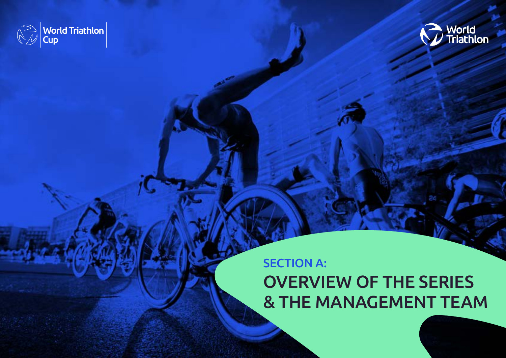<span id="page-2-0"></span>



## SECTION A: OVERVIEW OF THE SERIES & THE MANAGEMENT TEAM

3 | LOC REQUIREMENTS: 2023 WORLD TRIATHLON CUP – APRIL 2022 [BACK TO TABLE OF CONTENTS](#page-1-0)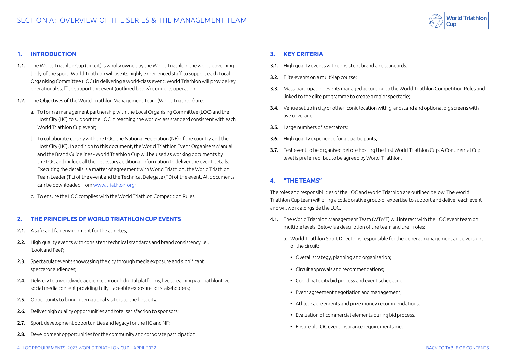

#### <span id="page-3-0"></span>**1. INTRODUCTION**

- 1.1. The World Triathlon Cup (circuit) is wholly owned by the World Triathlon, the world governing body of the sport. World Triathlon will use its highly experienced staff to support each Local Organising Committee (LOC) in delivering a world-class event. World Triathlon will provide key operational staff to support the event (outlined below) during its operation.
- 1.2. The Objectives of the World Triathlon Management Team (World Triathlon) are:
	- a. To form a management partnership with the Local Organising Committee (LOC) and the Host City (HC) to support the LOC in reaching the world-class standard consistent with each World Triathlon Cup event;
	- b. To collaborate closely with the LOC, the National Federation (NF) of the country and the Host City (HC). In addition to this document, the World Triathlon Event Organisers Manual and the Brand Guidelines - World Triathlon Cup will be used as working documents by the LOC and include all the necessary additional information to deliver the event details. Executing the details is a matter of agreement with World Triathlon, the World Triathlon Team Leader (TL) of the event and the Technical Delegate (TD) of the event. All documents can be downloaded from [www.triathlon.org;](http://www.triathlon.org)
	- c. To ensure the LOC complies with the World Triathlon Competition Rules.

#### **2. THE PRINCIPLES OF WORLD TRIATHLON CUP EVENTS**

- 2.1. A safe and fair environment for the athletes:
- 2.2. High quality events with consistent technical standards and brand consistency i.e., 'Look and Feel';
- 2.3. Spectacular events showcasing the city through media exposure and significant spectator audiences;
- 2.4. Delivery to a worldwide audience through digital platforms; live streaming via TriathlonLive, social media content providing fully traceable exposure for stakeholders;
- 2.5. Opportunity to bring international visitors to the host city;
- 2.6. Deliver high quality opportunities and total satisfaction to sponsors;
- 2.7. Sport development opportunities and legacy for the HC and NF:
- 2.8. Development opportunities for the community and corporate participation.

#### **3. KEY CRITERIA**

- 3.1. High quality events with consistent brand and standards.
- 3.2. Elite events on a multi-lap course;
- 3.3. Mass-participation events managed according to the World Triathlon Competition Rules and linked to the elite programme to create a major spectacle;
- 3.4. Venue set up in city or other iconic location with grandstand and optional big screens with live coverage;
- 3.5. Large numbers of spectators:
- 3.6. High quality experience for all participants;
- 3.7. Test event to be organised before hosting the first World Triathlon Cup. A Continental Cup level is preferred, but to be agreed by World Triathlon.

#### **4. "THE TEAMS"**

The roles and responsibilities of the LOC and World Triathlon are outlined below. The World Triathlon Cup team will bring a collaborative group of expertise to support and deliver each event and will work alongside the LOC.

- 4.1. The World Triathlon Management Team (WTMT) will interact with the LOC event team on multiple levels. Below is a description of the team and their roles:
	- a. World Triathlon Sport Director is responsible for the general management and oversight of the circuit:
		- Overall strategy, planning and organisation;
		- Circuit approvals and recommendations;
		- Coordinate city bid process and event scheduling;
		- Event agreement negotiation and management;
		- Athlete agreements and prize money recommendations;
		- Evaluation of commercial elements during bid process.
		- Ensure all LOC event insurance requirements met.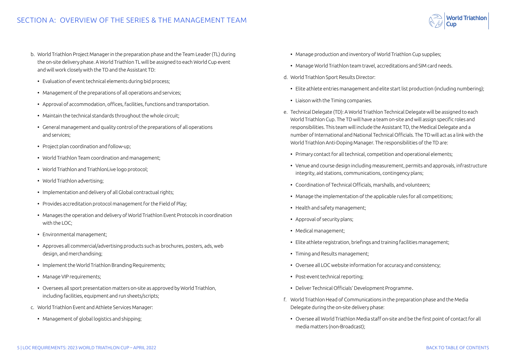- b. World Triathlon Project Manager in the preparation phase and the Team Leader (TL) during the on-site delivery phase. A World Triathlon TL will be assigned to each World Cup event and will work closely with the TD and the Assistant TD:
	- Evaluation of event technical elements during bid process;
	- Management of the preparations of all operations and services;
	- Approval of accommodation, offices, facilities, functions and transportation.
	- Maintain the technical standards throughout the whole circuit;
	- General management and quality control of the preparations of all operations and services;
	- Project plan coordination and follow-up;
	- World Triathlon Team coordination and management;
	- World Triathlon and TriathlonLive logo protocol;
	- World Triathlon advertising;
	- Implementation and delivery of all Global contractual rights;
	- Provides accreditation protocol management for the Field of Play;
	- Manages the operation and delivery of World Triathlon Event Protocols in coordination with the LOC;
	- Environmental management;
	- Approves all commercial/advertising products such as brochures, posters, ads, web design, and merchandising;
	- Implement the World Triathlon Branding Requirements;
	- Manage VIP requirements;
	- Oversees all sport presentation matters on-site as approved by World Triathlon, including facilities, equipment and run sheets/scripts;
- c. World Triathlon Event and Athlete Services Manager:
	- Management of global logistics and shipping;
- Manage production and inventory of World Triathlon Cup supplies;
- Manage World Triathlon team travel, accreditations and SIM card needs.
- d. World Triathlon Sport Results Director:
	- Elite athlete entries management and elite start list production (including numbering);
	- Liaison with the Timing companies.
- e. Technical Delegate (TD): A World Triathlon Technical Delegate will be assigned to each World Triathlon Cup. The TD will have a team on-site and will assign specific roles and responsibilities. This team will include the Assistant TD, the Medical Delegate and a number of International and National Technical Officials. The TD will act as a link with the World Triathlon Anti-Doping Manager. The responsibilities of the TD are:
	- Primary contact for all technical, competition and operational elements;
	- Venue and course design including measurement, permits and approvals, infrastructure integrity, aid stations, communications, contingency plans;
	- Coordination of Technical Officials, marshalls, and volunteers;
	- Manage the implementation of the applicable rules for all competitions;
	- Health and safety management;
	- Approval of security plans;
	- Medical management;
	- Elite athlete registration, briefings and training facilities management;
	- Timing and Results management;
	- Oversee all LOC website information for accuracy and consistency;
	- Post-event technical reporting;
	- Deliver Technical Officials' Development Programme.
- f. World Triathlon Head of Communications in the preparation phase and the Media Delegate during the on-site delivery phase:
	- Oversee all World Triathlon Media staff on-site and be the first point of contact for all media matters (non-Broadcast);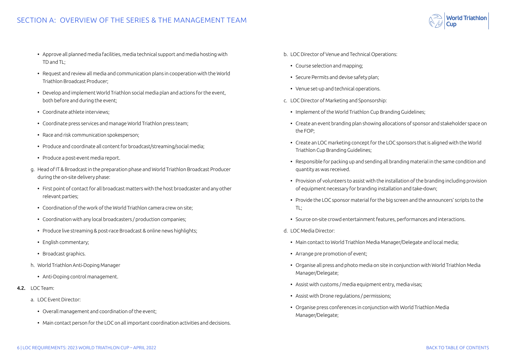### SECTION A: OVERVIEW OF THE SERIES & THE MANAGEMENT TEAM

- Approve all planned media facilities, media technical support and media hosting with TD and TL;
- Request and review all media and communication plans in cooperation with the World Triathlon Broadcast Producer;
- Develop and implement World Triathlon social media plan and actions for the event, both before and during the event;
- Coordinate athlete interviews;
- Coordinate press services and manage World Triathlon press team;
- Race and risk communication spokesperson;
- Produce and coordinate all content for broadcast/streaming/social media;
- Produce a post-event media report.
- g. Head of IT & Broadcast in the preparation phase and World Triathlon Broadcast Producer during the on-site delivery phase:
	- First point of contact for all broadcast matters with the host broadcaster and any other relevant parties;
	- Coordination of the work of the World Triathlon camera crew on site;
	- Coordination with any local broadcasters / production companies;
	- Produce live streaming & post-race Broadcast & online news highlights;
	- English commentary;
	- Broadcast graphics.
- h. World Triathlon Anti-Doping Manager
	- Anti-Doping control management.
- 4.2. LOC Team:
	- a. LOC Event Director:
		- Overall management and coordination of the event;
		- Main contact person for the LOC on all important coordination activities and decisions.
- b. LOC Director of Venue and Technical Operations:
	- Course selection and mapping;
	- Secure Permits and devise safety plan;
	- Venue set-up and technical operations.
- c. LOC Director of Marketing and Sponsorship:
	- Implement of the World Triathlon Cup Branding Guidelines;
	- Create an event branding plan showing allocations of sponsor and stakeholder space on the FOP;
	- Create an LOC marketing concept for the LOC sponsors that is aligned with the World Triathlon Cup Branding Guidelines;
	- Responsible for packing up and sending all branding material in the same condition and quantity as was received.
	- Provision of volunteers to assist with the installation of the branding including provision of equipment necessary for branding installation and take-down;
	- Provide the LOC sponsor material for the big screen and the announcers' scripts to the TL;
	- Source on-site crowd entertainment features, performances and interactions.
- d. LOC Media Director:
	- Main contact to World Triathlon Media Manager/Delegate and local media;
	- Arrange pre promotion of event;
	- Organise all press and photo media on site in conjunction with World Triathlon Media Manager/Delegate;
	- Assist with customs / media equipment entry, media visas;
	- Assist with Drone regulations / permissions;
	- Organise press conferences in conjunction with World Triathlon Media Manager/Delegate;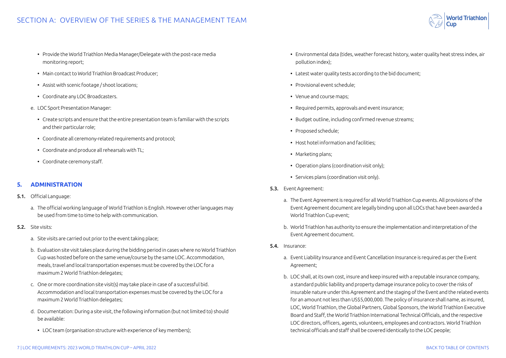- 
- <span id="page-6-0"></span>• Provide the World Triathlon Media Manager/Delegate with the post-race media monitoring report;
- Main contact to World Triathlon Broadcast Producer;
- Assist with scenic footage / shoot locations;
- Coordinate any LOC Broadcasters.
- e. LOC Sport Presentation Manager:
	- Create scripts and ensure that the entire presentation team is familiar with the scripts and their particular role;
	- Coordinate all ceremony-related requirements and protocol;
	- Coordinate and produce all rehearsals with TL;
	- Coordinate ceremony staff.

#### **5. ADMINISTRATION**

- 5.1. Official Language:
	- a. The official working language of World Triathlon is English. However other languages may be used from time to time to help with communication.
- 5.2. Site visits:
	- a. Site visits are carried out prior to the event taking place;
	- b. Evaluation site visit takes place during the bidding period in cases where no World Triathlon Cup was hosted before on the same venue/course by the same LOC. Accommodation, meals, travel and local transportation expenses must be covered by the LOC for a maximum 2 World Triathlon delegates;
	- c. One or more coordination site visit(s) may take place in case of a successful bid. Accommodation and local transportation expenses must be covered by the LOC for a maximum 2 World Triathlon delegates;
	- d. Documentation: During a site visit, the following information (but not limited to) should be available:
		- LOC team (organisation structure with experience of key members);
- Environmental data (tides, weather forecast history, water quality heat stress index, air pollution index);
- Latest water quality tests according to the bid document;
- Provisional event schedule;
- Venue and course maps;
- Required permits, approvals and event insurance;
- Budget outline, including confirmed revenue streams;
- Proposed schedule;
- Host hotel information and facilities;
- Marketing plans;
- Operation plans (coordination visit only);
- Services plans (coordination visit only).
- 5.3. Event Agreement:
	- a. The Event Agreement is required for all World Triathlon Cup events. All provisions of the Event Agreement document are legally binding upon all LOCs that have been awarded a World Triathlon Cup event;
	- b. World Triathlon has authority to ensure the implementation and interpretation of the Event Agreement document.
- 5.4. Insurance:
	- a. Event Liability Insurance and Event Cancellation Insurance is required as per the Event Agreement;
	- b. LOC shall, at its own cost, insure and keep insured with a reputable insurance company, a standard public liability and property damage insurance policy to cover the risks of insurable nature under this Agreement and the staging of the Event and the related events for an amount not less than US\$5,000,000. The policy of insurance shall name, as insured, LOC, World Triathlon, the Global Partners, Global Sponsors, the World Triathlon Executive Board and Staff, the World Triathlon International Technical Officials, and the respective LOC directors, officers, agents, volunteers, employees and contractors. World Triathlon technical officials and staff shall be covered identically to the LOC people;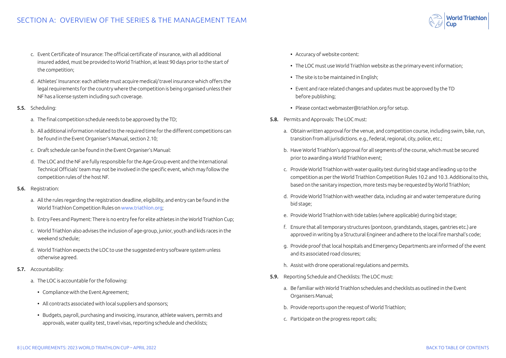- c. Event Certificate of Insurance: The official certificate of insurance, with all additional insured added, must be provided to World Triathlon, at least 90 days prior to the start of the competition;
- d. Athletes' Insurance: each athlete must acquire medical/ travel insurance which offers the legal requirements for the country where the competition is being organised unless their NF has a license system including such coverage.
- 5.5. Scheduling:
	- a. The final competition schedule needs to be approved by the TD;
	- b. All additional information related to the required time for the different competitions can be found in the Event Organiser's Manual, section 2.10;
	- c. Draft schedule can be found in the Event Organiser's Manual:
	- d. The LOC and the NF are fully responsible for the Age-Group event and the International Technical Officials' team may not be involved in the specific event, which may follow the competition rules of the host NF.
- 5.6. Registration:
	- a. All the rules regarding the registration deadline, eligibility, and entry can be found in the World Triathlon Competition Rules on [www.triathlon.org](http://www.triathlon.org);
	- b. Entry Fees and Payment: There is no entry fee for elite athletes in the World Triathlon Cup;
	- c. World Triathlon also advises the inclusion of age-group, junior, youth and kids races in the weekend schedule;
	- d. World Triathlon expects the LOC to use the suggested entry software system unless otherwise agreed.
- 5.7. Accountability:
	- a. The LOC is accountable for the following:
		- Compliance with the Event Agreement;
		- All contracts associated with local suppliers and sponsors;
		- Budgets, payroll, purchasing and invoicing, insurance, athlete waivers, permits and approvals, water quality test, travel visas, reporting schedule and checklists;
- Accuracy of website content:
- The LOC must use World Triathlon website as the primary event information;
- The site is to be maintained in English;
- Event and race related changes and updates must be approved by the TD before publishing;
- Please contact webmaster@triathlon.org for setup.
- 5.8. Permits and Approvals: The LOC must:
	- a. Obtain written approval for the venue, and competition course, including swim, bike, run, transition from all jurisdictions. e.g., federal, regional, city, police, etc.;
	- b. Have World Triathlon's approval for all segments of the course, which must be secured prior to awarding a World Triathlon event;
	- c. Provide World Triathlon with water quality test during bid stage and leading up to the competition as per the World Triathlon Competition Rules 10.2 and 10.3. Additional to this, based on the sanitary inspection, more tests may be requested by World Triathlon;
	- d. Provide World Triathlon with weather data, including air and water temperature during bid stage;
	- e. Provide World Triathlon with tide tables (where applicable) during bid stage;
	- f. Ensure that all temporary structures (pontoon, grandstands, stages, gantries etc.) are approved in writing by a Structural Engineer and adhere to the local fire marshal's code;
	- g. Provide proof that local hospitals and Emergency Departments are informed of the event and its associated road closures;
	- h. Assist with drone operational regulations and permits.
- 5.9. Reporting Schedule and Checklists: The LOC must:
	- a. Be familiar with World Triathlon schedules and checklists as outlined in the Event Organisers Manual;
	- b. Provide reports upon the request of World Triathlon;
	- c. Participate on the progress report calls;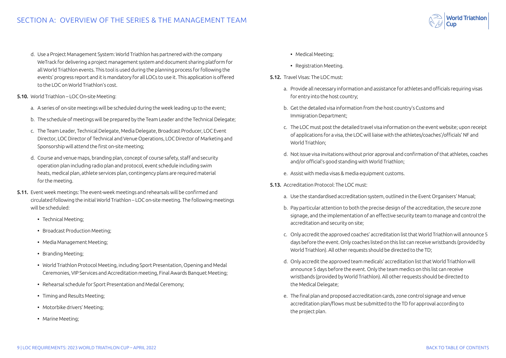- d. Use a Project Management System: World Triathlon has partnered with the company WeTrack for delivering a project management system and document sharing platform for all World Triathlon events. This tool is used during the planning process for following the events' progress report and it is mandatory for all LOCs to use it. This application is offered to the LOC on World Triathlon's cost.
- 5.10. World Triathlon LOC On-site Meeting:
	- a. A series of on-site meetings will be scheduled during the week leading up to the event;
	- b. The schedule of meetings will be prepared by the Team Leader and the Technical Delegate;
	- c. The Team Leader, Technical Delegate, Media Delegate, Broadcast Producer, LOC Event Director, LOC Director of Technical and Venue Operations, LOC Director of Marketing and Sponsorship will attend the first on-site meeting;
	- d. Course and venue maps, branding plan, concept of course safety, staff and security operation plan including radio plan and protocol, event schedule including swim heats, medical plan, athlete services plan, contingency plans are required material for the meeting.
- 5.11. Event week meetings: The event-week meetings and rehearsals will be confirmed and circulated following the initial World Triathlon – LOC on-site meeting. The following meetings will be scheduled:
	- Technical Meeting;
	- Broadcast Production Meeting;
	- Media Management Meeting;
	- Branding Meeting;
	- World Triathlon Protocol Meeting, including Sport Presentation, Opening and Medal Ceremonies, VIP Services and Accreditation meeting, Final Awards Banquet Meeting;
	- Rehearsal schedule for Sport Presentation and Medal Ceremony;
	- Timing and Results Meeting;
	- Motorbike drivers' Meeting;
	- Marine Meeting;
- Medical Meeting;
- Registration Meeting.
- 5.12. Travel Visas: The LOC must:
	- a. Provide all necessary information and assistance for athletes and officials requiring visas for entry into the host country;
	- b. Get the detailed visa information from the host country's Customs and Immigration Department;
	- c. The LOC must post the detailed travel visa information on the event website; upon receipt of applications for a visa, the LOC will liaise with the athletes/coaches'/officials' NF and World Triathlon;
	- d. Not issue visa invitations without prior approval and confirmation of that athletes, coaches and/or official's good standing with World Triathlon;
	- e. Assist with media visas & media equipment customs.
- 5.13. Accreditation Protocol: The LOC must:
	- a. Use the standardised accreditation system, outlined in the Event Organisers' Manual;
	- b. Pay particular attention to both the precise design of the accreditation, the secure zone signage, and the implementation of an effective security team to manage and control the accreditation and security on site;
	- c. Only accredit the approved coaches' accreditation list that World Triathlon will announce 5 days before the event. Only coaches listed on this list can receive wristbands (provided by World Triathlon). All other requests should be directed to the TD;
	- d. Only accredit the approved team medicals' accreditation list that World Triathlon will announce 5 days before the event. Only the team medics on this list can receive wristbands (provided by World Triathlon). All other requests should be directed to the Medical Delegate;
	- e. The final plan and proposed accreditation cards, zone control signage and venue accreditation plan/flows must be submitted to the TD for approval according to the project plan.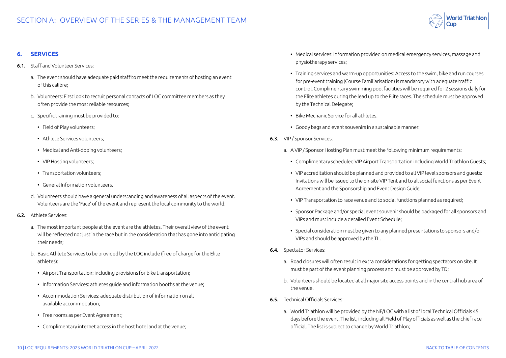### <span id="page-9-0"></span>SECTION A: OVERVIEW OF THE SERIES & THE MANAGEMENT TEAM



#### **6. SERVICES**

- 6.1. Staff and Volunteer Services:
	- a. The event should have adequate paid staff to meet the requirements of hosting an event of this calibre;
	- b. Volunteers: First look to recruit personal contacts of LOC committee members as they often provide the most reliable resources;
	- c. Specific training must be provided to:
		- Field of Play volunteers;
		- Athlete Services volunteers;
		- Medical and Anti-doping volunteers;
		- VIP Hosting volunteers;
		- Transportation volunteers;
		- General Information volunteers.
	- d. Volunteers should have a general understanding and awareness of all aspects of the event. Volunteers are the 'Face' of the event and represent the local community to the world.
- 6.2. Athlete Services:
	- a. The most important people at the event are the athletes. Their overall view of the event will be reflected not just in the race but in the consideration that has gone into anticipating their needs;
	- b. Basic Athlete Services to be provided by the LOC include (free of charge for the Elite athletes):
		- Airport Transportation: including provisions for bike transportation;
		- Information Services: athletes guide and information booths at the venue;
		- Accommodation Services: adequate distribution of information on all available accommodation;
		- Free rooms as per Event Agreement;
		- Complimentary internet access in the host hotel and at the venue;
- Medical services: information provided on medical emergency services, massage and physiotherapy services;
- Training services and warm-up opportunities: Access to the swim, bike and run courses for pre-event training (Course Familiarisation) is mandatory with adequate traffic control. Complimentary swimming pool facilities will be required for 2 sessions daily for the Elite athletes during the lead up to the Elite races. The schedule must be approved by the Technical Delegate;
- Bike Mechanic Service for all athletes.
- Goody bags and event souvenirs in a sustainable manner.
- 6.3. VIP / Sponsor Services:
	- a. A VIP / Sponsor Hosting Plan must meet the following minimum requirements:
		- Complimentary scheduled VIP Airport Transportation including World Triathlon Guests;
		- VIP accreditation should be planned and provided to all VIP level sponsors and guests: Invitations will be issued to the on-site VIP Tent and to all social functions as per Event Agreement and the Sponsorship and Event Design Guide;
		- VIP Transportation to race venue and to social functions planned as required;
		- Sponsor Package and/or special event souvenir should be packaged for all sponsors and VIPs and must include a detailed Event Schedule;
		- Special consideration must be given to any planned presentations to sponsors and/or VIPs and should be approved by the TL.
- 6.4. Spectator Services:
	- a. Road closures will often result in extra considerations for getting spectators on site. It must be part of the event planning process and must be approved by TD;
	- b. Volunteers should be located at all major site access points and in the central hub area of the venue.
- 6.5. Technical Officials Services:
	- a. World Triathlon will be provided by the NF/LOC with a list of local Technical Officials 45 days before the event. The list, including all Field of Play officials as well as the chief race official. The list is subject to change by World Triathlon;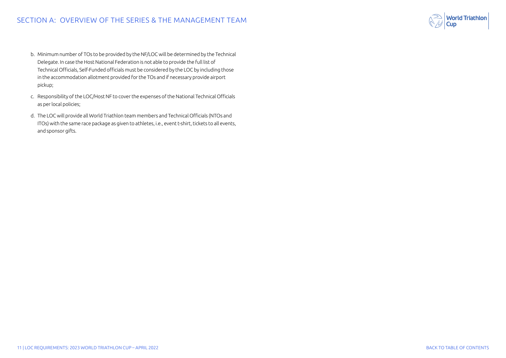- b. Minimum number of TOs to be provided by the NF/LOC will be determined by the Technical Delegate. In case the Host National Federation is not able to provide the full list of Technical Officials, Self-Funded officials must be considered by the LOC by including those in the accommodation allotment provided for the TOs and if necessary provide airport pickup;
- c. Responsibility of the LOC/Host NF to cover the expenses of the National Technical Officials as per local policies;
- d. The LOC will provide all World Triathlon team members and Technical Officials (NTOs and ITOs) with the same race package as given to athletes, i.e., event t-shirt, tickets to all events, and sponsor gifts.

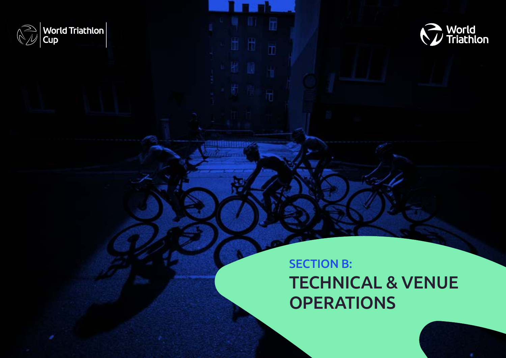<span id="page-11-0"></span>



## SECTION B: TECHNICAL & VENUE **OPERATIONS**

ÌÏ

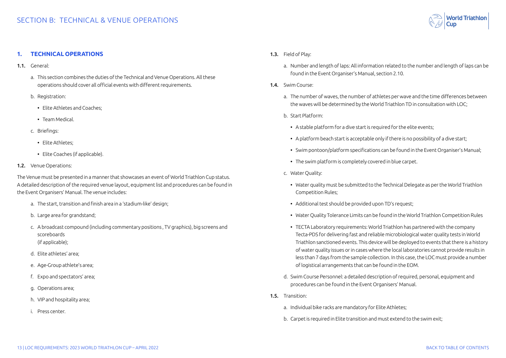

#### <span id="page-12-0"></span>**1. TECHNICAL OPERATIONS**

- 1.1. General:
	- a. This section combines the duties of the Technical and Venue Operations. All these operations should cover all official events with different requirements.
	- b. Registration:
		- Elite Athletes and Coaches;
		- Team Medical.
	- c. Briefings:
		- Elite Athletes;
		- Elite Coaches (if applicable).
- 1.2. Venue Operations:

The Venue must be presented in a manner that showcases an event of World Triathlon Cup status. A detailed description of the required venue layout, equipment list and procedures can be found in the Event Organisers' Manual. The venue includes:

- a. The start, transition and finish area in a 'stadium-like' design;
- b. Large area for grandstand;
- c. A broadcast compound (including commentary positions , TV graphics), big screens and scoreboards (if applicable);
- d. Elite athletes' area;
- e. Age-Group athlete's area;
- f. Expo and spectators' area;
- g. Operations area;
- h. VIP and hospitality area;
- i. Press center.
- 1.3. Field of Play:
	- a. Number and length of laps: All information related to the number and length of laps can be found in the Event Organiser's Manual, section 2.10.
- 1.4. Swim Course:
	- a. The number of waves, the number of athletes per wave and the time differences between the waves will be determined by the World Triathlon TD in consultation with LOC;
	- b. Start Platform:
		- A stable platform for a dive start is required for the elite events:
		- A platform beach start is acceptable only if there is no possibility of a dive start;
		- Swim pontoon/platform specifications can be found in the Event Organiser's Manual;
		- The swim platform is completely covered in blue carpet.
	- c. Water Quality:
		- Water quality must be submitted to the Technical Delegate as per the World Triathlon Competition Rules;
		- Additional test should be provided upon TD's request;
		- Water Quality Tolerance Limits can be found in the World Triathlon Competition Rules
		- TECTA Laboratory requirements: World Triathlon has partnered with the company Tecta-PDS for delivering fast and reliable microbiological water quality tests in World Triathlon sanctioned events. This device will be deployed to events that there is a history of water quality issues or in cases where the local laboratories cannot provide results in less than 7 days from the sample collection. In this case, the LOC must provide a number of logistical arrangements that can be found in the EOM.
	- d. Swim Course Personnel: a detailed description of required, personal, equipment and procedures can be found in the Event Organisers' Manual.
- 1.5. Transition:
	- a. Individual bike racks are mandatory for Elite Athletes;
	- b. Carpet is required in Elite transition and must extend to the swim exit;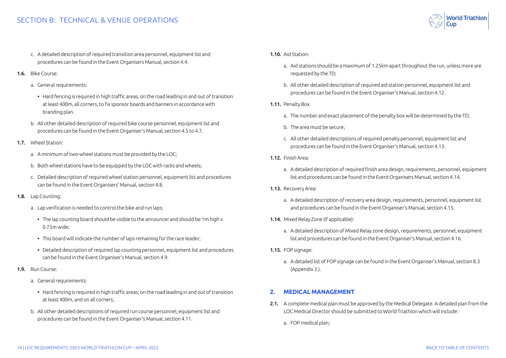### <span id="page-13-0"></span>SECTION B: TECHNICAL & VENUE OPERATIONS

- c. A detailed description of required transition area personnel, equipment list and procedures can be found in the Event Organisers Manual, section 4.4.
- 1.6. Bike Course:
	- a. General requirements:
		- Hard fencing is required in high traffic areas, on the road leading in and out of transition at least 400m, all corners, to fix sponsor boards and banners in accordance with branding plan.
	- b. All other detailed description of required bike course personnel, equipment list and procedures can be found in the Event Organiser's Manual, section 4.5 to 4.7.
- 1.7. Wheel Station:
	- a. A minimum of two-wheel stations must be provided by the LOC;
	- b. Both wheel stations have to be equipped by the LOC with racks and wheels;
	- c. Detailed description of required wheel station personnel, equipment list and procedures can be found in the Event Organisers' Manual, section 4.8.
- 1.8. Lap Counting:
	- a. Lap verification is needed to control the bike and run laps;
		- The lap counting board should be visible to the announcer and should be 1m high x 0.75m wide;
		- This board will indicate the number of laps remaining for the race leader;
		- Detailed description of required lap counting personnel, equipment list and procedures can be found in the Event Organiser's Manual, section 4.9.
- 1.9. Run Course:
	- a. General requirements:
		- Hard fencing is required in high traffic areas; on the road leading in and out of transition at least 400m, and on all corners;
	- b. All other detailed descriptions of required run course personnel, equipment list and procedures can be found in the Event Organiser's Manual, section 4.11.

#### 1.10. Aid Station:

- a. Aid stations should be a maximum of 1.25km apart throughout the run, unless more are requested by the TD;
- b. All other detailed description of required aid station personnel, equipment list and procedures can be found in the Event Organiser's Manual, section 4.12.
- 1.11. Penalty Box
	- a. The number and exact placement of the penalty box will be determined by the TD;
	- b. The area must be secure;
	- c. All other detailed descriptions of required penalty personnel, equipment list and procedures can be found in the Event Organiser's Manual, section 4.13.
- 1.12. Finish Area:
	- a. A detailed description of required finish area design, requirements, personnel, equipment list and procedures can be found in the Event Organisers Manual, section 4.14.
- 1.13. Recovery Area:
	- a. A detailed description of recovery area design, requirements, personnel, equipment list and procedures can be found in the Event Organiser's Manual, section 4.15.
- 1.14. Mixed Relay Zone (if applicable):
	- a. A detailed description of Mixed Relay zone design, requirements, personnel, equipment list and procedures can be found in the Event Organiser's Manual, section 4.16.
- 1.15. FOP signage:
	- a. A detailed list of FOP signage can be found in the Event Organiser's Manual, section 8.3 (Appendix 3.).

#### **2. MEDICAL MANAGEMENT**

- 2.1. A complete medical plan must be approved by the Medical Delegate. A detailed plan from the LOC Medical Director should be submitted to World Triathlon which will include:
	- a. FOP medical plan;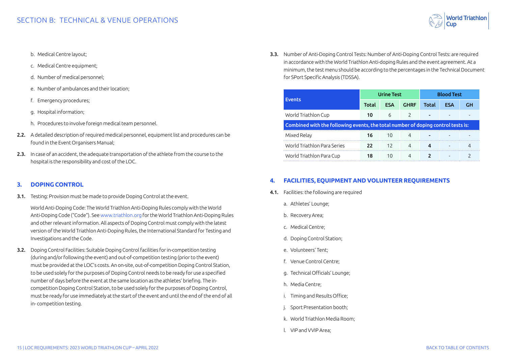

- <span id="page-14-0"></span>b. Medical Centre layout;
- c. Medical Centre equipment;
- d. Number of medical personnel;
- e. Number of ambulances and their location;
- f. Emergency procedures;
- g. Hospital information;
- h. Procedures to involve foreign medical team personnel.
- 2.2. A detailed description of required medical personnel, equipment list and procedures can be found in the Event Organisers Manual;
- 2.3. In case of an accident, the adequate transportation of the athlete from the course to the hospital is the responsibility and cost of the LOC.

#### **3. DOPING CONTROL**

3.1. Testing: Provision must be made to provide Doping Control at the event.

World Anti-Doping Code: The World Triathlon Anti-Doping Rules comply with the World Anti-Doping Code ("Code"). See [www.triathlon.org](http://www.triathlon.org) for the World Triathlon Anti-Doping Rules and other relevant information. All aspects of Doping Control must comply with the latest version of the World Triathlon Anti-Doping Rules, the International Standard for Testing and Investigations and the Code.

3.2. Doping Control Facilities: Suitable Doping Control facilities for in-competition testing (during and/or following the event) and out-of-competition testing (prior to the event) must be provided at the LOC's costs. An on-site, out-of-competition Doping Control Station, to be used solely for the purposes of Doping Control needs to be ready for use a specified number of days before the event at the same location as the athletes' briefing. The incompetition Doping Control Station, to be used solely for the purposes of Doping Control, must be ready for use immediately at the start of the event and until the end of the end of all in- competition testing.

3.3. Number of Anti-Doping Control Tests: Number of Anti-Doping Control Tests: are required in accordance with the World Triathlon Anti-doping Rules and the event agreement. At a minimum, the test menu should be according to the percentages in the Technical Document for SPort Specific Analysis (TDSSA).

| <b>Events</b>                                                                    | <b>Urine Test</b> |            |               | <b>Blood Test</b> |            |           |
|----------------------------------------------------------------------------------|-------------------|------------|---------------|-------------------|------------|-----------|
|                                                                                  | Total             | <b>ESA</b> | <b>GHRF</b>   | Total             | <b>ESA</b> | <b>GH</b> |
| World Triathlon Cup                                                              | 10                | 6          | $\mathcal{P}$ |                   |            |           |
| Combined with the following events, the total number of doping control tests is: |                   |            |               |                   |            |           |
| Mixed Relay                                                                      | 16                | 10         | 4             |                   |            |           |
| World Triathlon Para Series                                                      | 22                | 12.        | 4             | 4                 |            | 4         |
| World Triathlon Para Cup                                                         | 18                | 10         | 4             |                   |            |           |

#### **4. FACILITIES, EQUIPMENT AND VOLUNTEER REQUIREMENTS**

- 4.1. Facilities: the following are required
	- a. Athletes' Lounge;
	- b. Recovery Area;
	- c. Medical Centre;
	- d. Doping Control Station;
	- e. Volunteers' Tent;
	- f. Venue Control Centre;
	- g. Technical Officials' Lounge;
	- h. Media Centre;
	- i. Timing and Results Office;
	- j. Sport Presentation booth;
	- k. World Triathlon Media Room;
	- l. VIP and VVIP Area;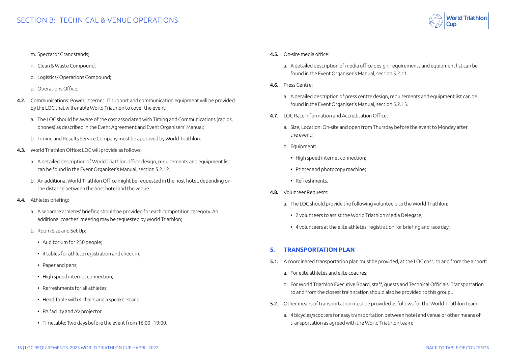- <span id="page-15-0"></span>m. Spectator Grandstands;
- n. Clean & Waste Compound;
- o. Logistics/ Operations Compound;
- p. Operations Office;
- 4.2. Communications: Power, internet, IT support and communication equipment will be provided by the LOC that will enable World Triathlon to cover the event:
	- a. The LOC should be aware of the cost associated with Timing and Communications (radios, phones) as described in the Event Agreement and Event Organisers' Manual;
	- b. Timing and Results Service Company must be approved by World Triathlon.
- 4.3. World Triathlon Office: LOC will provide as follows:
	- a. A detailed description of World Triathlon office design, requirements and equipment list can be found in the Event Organiser's Manual, section 5.2.12.
	- b. An additional World Triathlon Office might be requested in the host hotel, depending on the distance between the host hotel and the venue.
- 4.4. Athletes briefing:
	- a. A separate athletes' briefing should be provided for each competition category. An additional coaches' meeting may be requested by World Triathlon;
	- b. Room Size and Set Up:
		- Auditorium for 250 people;
		- 4 tables for athlete registration and check-in;
		- Paper and pens;
		- High speed internet connection;
		- Refreshments for all athletes;
		- Head Table with 4 chairs and a speaker stand;
		- PA facility and AV projector.
		- Timetable: Two days before the event from 16:00 19:00.
- 4.5. On-site media office:
	- a. A detailed description of media office design, requirements and equipment list can be found in the Event Organiser's Manual, section 5.2.11.
- 4.6. Press Centre:
	- a. A detailed description of press centre design, requirements and equipment list can be found in the Event Organiser's Manual, section 5.2.15.
- 4.7. LOC Race Information and Accreditation Office:
	- a. Size, Location: On-site and open from Thursday before the event to Monday after the event;
	- b. Equipment:
		- High speed internet connection;
		- Printer and photocopy machine;
		- Refreshments.
- 4.8. Volunteer Requests:
	- a. The LOC should provide the following volunteers to the World Triathlon:
		- 2 volunteers to assist the World Triathlon Media Delegate;
		- 4 volunteers at the elite athletes' registration for briefing and race day.

#### **5. TRANSPORTATION PLAN**

- 5.1. A coordinated transportation plan must be provided, at the LOC cost, to and from the airport:
	- a. For elite athletes and elite coaches;
	- b. For World Triathlon Executive Board, staff, guests and Technical Officials. Transportation to and from the closest train station should also be provided to this group..
- 5.2. Other means of transportation must be provided as follows for the World Triathlon team:
	- a. 4 bicycles/scooters for easy transportation between hotel and venue or other means of transportation as agreed with the World Triathlon team;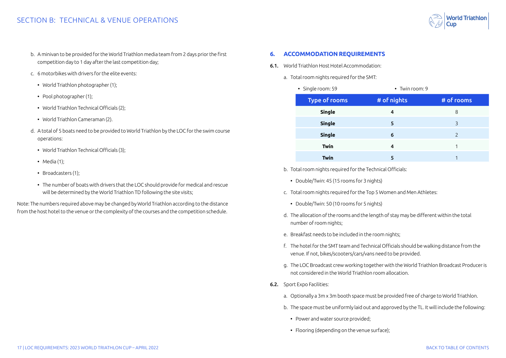- <span id="page-16-0"></span>b. A minivan to be provided for the World Triathlon media team from 2 days prior the first competition day to 1 day after the last competition day;
- c. 6 motorbikes with drivers for the elite events:
	- World Triathlon photographer (1);
	- Pool photographer (1):
	- World Triathlon Technical Officials (2);
	- World Triathlon Cameraman (2).
- d. A total of 5 boats need to be provided to World Triathlon by the LOC for the swim course operations:
	- World Triathlon Technical Officials (3);
	- Media (1):
	- Broadcasters (1);
	- The number of boats with drivers that the LOC should provide for medical and rescue will be determined by the World Triathlon TD following the site visits;

Note: The numbers required above may be changed by World Triathlon according to the distance from the host hotel to the venue or the complexity of the courses and the competition schedule.

#### **6. ACCOMMODATION REQUIREMENTS**

- 6.1. World Triathlon Host Hotel Accommodation:
	- a. Total room nights required for the SMT:
		- Single room: 59 Twin room: 9

| Type of rooms | # of nights | # of rooms    |
|---------------|-------------|---------------|
| <b>Single</b> | 4           | 8             |
| <b>Single</b> | 5           | 3             |
| <b>Single</b> | 6           | $\mathcal{P}$ |
| <b>Twin</b>   | 4           |               |
| Twin          |             |               |

- b. Total room nights required for the Technical Officials:
	- Double/Twin: 45 (15 rooms for 3 nights)
- c. Total room nights required for the Top 5 Women and Men Athletes:
	- Double/Twin: 50 (10 rooms for 5 nights)
- d. The allocation of the rooms and the length of stay may be different within the total number of room nights;
- e. Breakfast needs to be included in the room nights;
- f. The hotel for the SMT team and Technical Officials should be walking distance from the venue. If not, bikes/scooters/cars/vans need to be provided.
- g. The LOC Broadcast crew working together with the World Triathlon Broadcast Producer is not considered in the World Triathlon room allocation.
- 6.2. Sport Expo Facilities:
	- a. Optionally a 3m x 3m booth space must be provided free of charge to World Triathlon.
	- b. The space must be uniformly laid out and approved by the TL. It will include the following:
		- Power and water source provided;
		- Flooring (depending on the venue surface);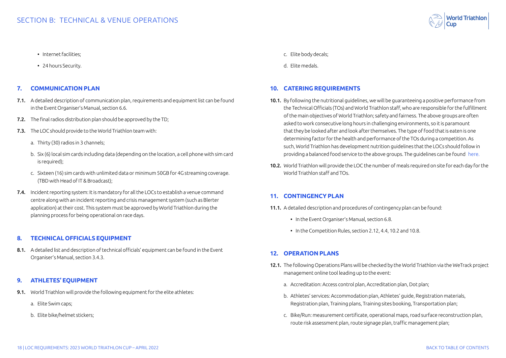- <span id="page-17-0"></span>• Internet facilities;
- 24 hours Security.

#### **7. COMMUNICATION PLAN**

- 7.1. A detailed description of communication plan, requirements and equipment list can be found in the Event Organiser's Manual, section 6.6.
- 7.2. The final radios distribution plan should be approved by the TD:
- 7.3. The LOC should provide to the World Triathlon team with:
	- a. Thirty (30) radios in 3 channels;
	- b. Six (6) local sim cards including data (depending on the location, a cell phone with sim card is required);
	- c. Sixteen (16) sim cards with unlimited data or minimum 50GB for 4G streaming coverage. (TBD with Head of IT & Broadcast);
- 7.4. Incident reporting system: It is mandatory for all the LOCs to establish a venue command centre along with an incident reporting and crisis management system (such as Blerter application) at their cost. This system must be approved by World Triathlon during the planning process for being operational on race days.

#### **8. TECHNICAL OFFICIALS EQUIPMENT**

8.1. A detailed list and description of technical officials' equipment can be found in the Event Organiser's Manual, section 3.4.3.

#### **9. ATHLETES' EQUIPMENT**

- 9.1. World Triathlon will provide the following equipment for the elite athletes:
	- a. Elite Swim caps;
	- b. Elite bike/helmet stickers;
- c. Elite body decals;
- d. Elite medals.

#### **10. CATERING REQUIREMENTS**

- 10.1. By following the nutritional guidelines, we will be guaranteeing a positive performance from the Technical Officials (TOs) and World Triathlon staff, who are responsible for the fulfillment of the main objectives of World Triathlon; safety and fairness. The above groups are often asked to work consecutive long hours in challenging environments, so it is paramount that they be looked after and look after themselves. The type of food that is eaten is one determining factor for the health and performance of the TOs during a competition. As such, World Triathlon has development nutrition guidelines that the LOCs should follow in providing a balanced food service to the above groups. The guidelines can be found [here.](https://www.triathlon.org/uploads/docs/TO_Nutrition_v3.pdf
)
- 10.2. World Triathlon will provide the LOC the number of meals required on site for each day for the World Triathlon staff and TOs.

#### **11. CONTINGENCY PLAN**

- 11.1. A detailed description and procedures of contingency plan can be found:
	- In the Event Organiser's Manual, section 6.8.
	- In the Competition Rules, section 2.12, 4.4, 10.2 and 10.8.

#### **12. OPERATION PLANS**

- 12.1. The following Operations Plans will be checked by the World Triathlon via the WeTrack project management online tool leading up to the event:
	- a. Accreditation: Access control plan, Accreditation plan, Dot plan;
	- b. Athletes' services: Accommodation plan, Athletes' guide, Registration materials, Registration plan, Training plans, Training sites booking, Transportation plan;
	- c. Bike/Run: measurement certificate, operational maps, road surface reconstruction plan, route risk assessment plan, route signage plan, traffic management plan;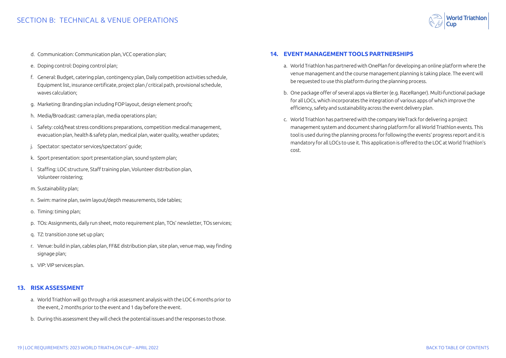

- <span id="page-18-0"></span>d. Communication: Communication plan, VCC operation plan;
- e. Doping control: Doping control plan;
- f. General: Budget, catering plan, contingency plan, Daily competition activities schedule, Equipment list, insurance certificate, project plan / critical path, provisional schedule, waves calculation;
- g. Marketing: Branding plan including FOP layout, design element proofs;
- h. Media/Broadcast: camera plan, media operations plan;
- i. Safety: cold/heat stress conditions preparations, competition medical management, evacuation plan, health & safety plan, medical plan, water quality, weather updates;
- j. Spectator: spectator services/spectators' guide;
- k. Sport presentation: sport presentation plan, sound system plan;
- l. Staffing: LOC structure, Staff training plan, Volunteer distribution plan, Volunteer roistering;
- m. Sustainability plan;
- n. Swim: marine plan, swim layout/depth measurements, tide tables;
- o. Timing: timing plan;
- p. TOs: Assignments, daily run sheet, moto requirement plan, TOs' newsletter, TOs services;
- q. TZ: transition zone set up plan;
- r. Venue: build in plan, cables plan, FF&E distribution plan, site plan, venue map, way finding signage plan;
- s. VIP: VIP services plan.

#### **13. RISK ASSESSMENT**

- a. World Triathlon will go through a risk assessment analysis with the LOC 6 months prior to the event, 2 months prior to the event and 1 day before the event.
- b. During this assessment they will check the potential issues and the responses to those.

#### **14. EVENT MANAGEMENT TOOLS PARTNERSHIPS**

- a. World Triathlon has partnered with OnePlan for developing an online platform where the venue management and the course management planning is taking place. The event will be requested to use this platform during the planning process.
- b. One package offer of several apps via Blerter (e.g. RaceRanger). Multi-functional package for all LOCs, which incorporates the integration of various apps of which improve the efficiency, safety and sustainability across the event delivery plan.
- c. World Triathlon has partnered with the company WeTrack for delivering a project management system and document sharing platform for all World Triathlon events. This tool is used during the planning process for following the events' progress report and it is mandatory for all LOCs to use it. This application is offered to the LOC at World Triathlon's cost.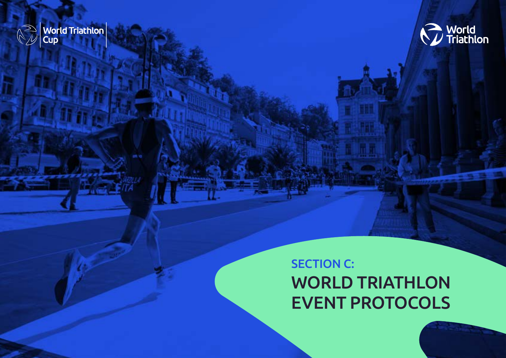

<span id="page-19-0"></span>**SECTION B: SECTION B: SECTION** 



## **SECTION C:** WORLD TRIATHLON EVENT PROTOCOLS

20 | LOC REQUIREMENTS: 2023 WORLD TRIATHLON CUP – APRIL 2022 [BACK TO TABLE OF CONTENTS](#page-1-0)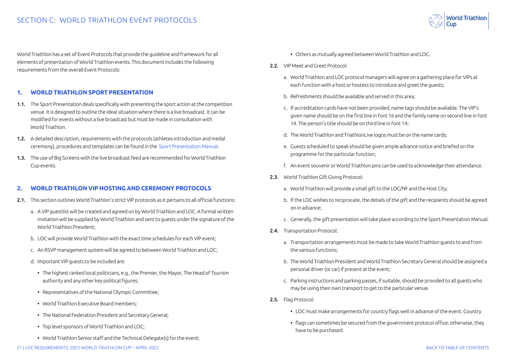<span id="page-20-0"></span>World Triathlon has a set of Event Protocols that provide the guideline and framework for all elements of presentation of World Triathlon events. This document includes the following requirements from the overall Event Protocols:

#### **1. WORLD TRIATHLON SPORT PRESENTATION**

- 1.1. The Sport Presentation deals specifically with presenting the sport action at the competition venue. It is designed to outline the ideal situation where there is a live broadcast. It can be modified for events without a live broadcast but must be made in consultation with World Triathlon.
- 1.2. A detailed description, requirements with the protocols (athletes introduction and medal ceremony), procedures and templates can be found in the [Sport Presentation Manual.](https://triathlon.org/about/downloads/category/event_organisers_manual)
- 1.3. The use of Big Screens with the live broadcast feed are recommended for World Triathlon Cup events.

#### **2. WORLD TRIATHLON VIP HOSTING AND CEREMONY PROTOCOLS**

- 2.1. This section outlines World Triathlon's strict VIP protocols as it pertains to all official functions:
	- a. A VIP guestlist will be created and agreed on by World Triathlon and LOC. A formal written invitation will be supplied by World Triathlon and sent to guests under the signature of the World Triathlon President;
	- b. LOC will provide World Triathlon with the exact time schedules for each VIP event;
	- c. An RSVP management system will be agreed to between World Triathlon and LOC;
	- d. Important VIP guests to be included are:
		- The highest ranked local politicians, e.g., the Premier, the Mayor, The Head of Tourism authority and any other key political figures;
		- Representatives of the National Olympic Committee;
		- World Triathlon Executive Board members;
		- The National Federation President and Secretary General;
		- Top level sponsors of World Triathlon and LOC;
		- World Triathlon Senior staff and the Technical Delegate(s) for the event;
- Others as mutually agreed between World Triathlon and LOC.
- 2.2. VIP Meet and Greet Protocol:
	- a. World Triathlon and LOC protocol managers will agree on a gathering place for VIPs at each function with a host or hostess to introduce and greet the guests;
	- b. Refreshments should be available and served in this area;
	- c. If accreditation cards have not been provided, name tags should be available. The VIP's given name should be on the first line in font 16 and the family name on second line in font 14. The person's title should be on third line in font 14;
	- d. The World Triathlon and TriathlonLive logos must be on the name cards;
	- e. Guests scheduled to speak should be given ample advance notice and briefed on the programme for the particular function;
	- f. An event souvenir or World Triathlon pins can be used to acknowledge their attendance.
- 2.3. World Triathlon Gift Giving Protocol:
	- a. World Triathlon will provide a small gift to the LOC/NF and the Host City;
	- b. If the LOC wishes to reciprocate, the details of the gift and the recipients should be agreed on in advance;
	- c. Generally, the gift presentation will take place according to the Sport Presentation Manual.
- 2.4. Transportation Protocol:
	- a. Transportation arrangements must be made to take World Triathlon guests to and from the various functions;
	- b. The World Triathlon President and World Triathlon Secretary General should be assigned a personal driver (or car) if present at the event;
	- c. Parking instructions and parking passes, if suitable, should be provided to all guests who may be using their own transport to get to the particular venue.
- 2.5. Flag Protocol:
	- LOC must make arrangements for country flags well in advance of the event. Country
	- flags can sometimes be secured from the government protocol office; otherwise, they have to be purchased.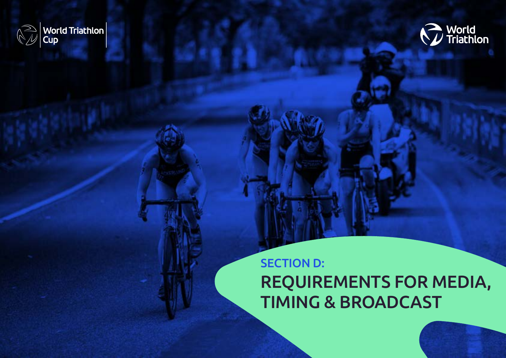<span id="page-21-0"></span>



## **SECTION D:** REQUIREMENTS FOR MEDIA, TIMING & BROADCAST

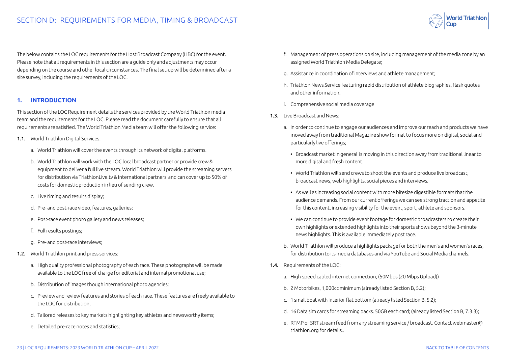**World Triathlon** 

<span id="page-22-0"></span>The below contains the LOC requirements for the Host Broadcast Company (HBC) for the event. Please note that all requirements in this section are a guide only and adjustments may occur depending on the course and other local circumstances. The final set-up will be determined after a site survey, including the requirements of the LOC.

#### **1. INTRODUCTION**

This section of the LOC Requirement details the services provided by the World Triathlon media team and the requirements for the LOC. Please read the document carefully to ensure that all requirements are satisfied. The World Triathlon Media team will offer the following service:

- 1.1. World Triathlon Digital Services:
	- a. World Triathlon will cover the events through its network of digital platforms.
	- b. World Triathlon will work with the LOC local broadcast partner or provide crew & equipment to deliver a full live stream. World Triathlon will provide the streaming servers for distribution via TriathlonLive.tv & International partners and can cover up to 50% of costs for domestic production in lieu of sending crew.
	- c. Live timing and results display;
	- d. Pre- and post-race video, features, galleries;
	- e. Post-race event photo gallery and news releases;
	- f. Full results postings;
	- g. Pre- and post-race interviews;
- 1.2. World Triathlon print and press services:
	- a. High quality professional photography of each race. These photographs will be made available to the LOC free of charge for editorial and internal promotional use;
	- b. Distribution of images though international photo agencies;
	- c. Preview and review features and stories of each race. These features are freely available to the LOC for distribution;
	- d. Tailored releases to key markets highlighting key athletes and newsworthy items;
	- e. Detailed pre-race notes and statistics;
- f. Management of press operations on site, including management of the media zone by an assigned World Triathlon Media Delegate;
- g. Assistance in coordination of interviews and athlete management;
- h. Triathlon News Service featuring rapid distribution of athlete biographies, flash quotes and other information.
- i. Comprehensive social media coverage
- 1.3. Live Broadcast and News:
	- a. In order to continue to engage our audiences and improve our reach and products we have moved away from traditional Magazine show format to focus more on digital, social and particularly live offerings;
		- Broadcast market in general is moving in this direction away from traditional linear to more digital and fresh content.
		- World Triathlon will send crews to shoot the events and produce live broadcast, broadcast news, web highlights, social pieces and interviews.
		- As well as increasing social content with more bitesize digestible formats that the audience demands. From our current offerings we can see strong traction and appetite for this content, increasing visibility for the event, sport, athlete and sponsors.
		- We can continue to provide event footage for domestic broadcasters to create their own highlights or extended highlights into their sports shows beyond the 3-minute news highlights. This is available immediately post race.
	- b. World Triathlon will produce a highlights package for both the men's and women's races, for distribution to its media databases and via YouTube and Social Media channels.
- 1.4. Requirements of the LOC:
	- a. High-speed cabled internet connection; (50Mbps (20 Mbps Upload))
	- b. 2 Motorbikes, 1,000cc minimum (already listed Section B, 5.2);
	- c. 1 small boat with interior flat bottom (already listed Section B, 5.2);
	- d. 16 Data sim cards for streaming packs. 50GB each card; (already listed Section B, 7.3.3);
	- e. RTMP or SRT stream feed from any streaming service / broadcast. Contact webmaster@ triathlon.org for details..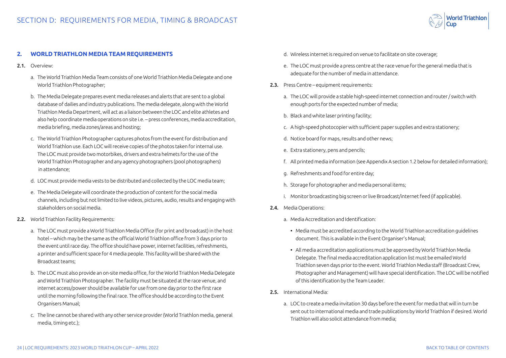

#### <span id="page-23-0"></span>**2. WORLD TRIATHLON MEDIA TEAM REQUIREMENTS**

- 2.1 Overview:
	- a. The World Triathlon Media Team consists of one World Triathlon Media Delegate and one World Triathlon Photographer;
	- b. The Media Delegate prepares event media releases and alerts that are sent to a global database of dailies and industry publications. The media delegate, along with the World Triathlon Media Department, will act as a liaison between the LOC and elite athletes and also help coordinate media operations on site i.e. – press conferences, media accreditation, media briefing, media zones/areas and hosting;
	- c. The World Triathlon Photographer captures photos from the event for distribution and World Triathlon use. Each LOC will receive copies of the photos taken for internal use. The LOC must provide two motorbikes, drivers and extra helmets for the use of the World Triathlon Photographer and any agency photographers (pool photographers) in attendance;
	- d. LOC must provide media vests to be distributed and collected by the LOC media team;
	- e. The Media Delegate will coordinate the production of content for the social media channels, including but not limited to live videos, pictures, audio, results and engaging with stakeholders on social media.
- 2.2. World Triathlon Facility Requirements:
	- a. The LOC must provide a World Triathlon Media Office (for print and broadcast) in the host hotel – which may be the same as the official World Triathlon office from 3 days prior to the event until race day. The office should have power, internet facilities, refreshments, a printer and sufficient space for 4 media people. This facility will be shared with the Broadcast teams;
	- b. The LOC must also provide an on-site media office, for the World Triathlon Media Delegate and World Triathlon Photographer. The facility must be situated at the race venue, and internet access/power should be available for use from one day prior to the first race until the morning following the final race. The office should be according to the Event Organisers Manual;
	- c. The line cannot be shared with any other service provider (World Triathlon media, general media, timing etc.);
- d. Wireless internet is required on venue to facilitate on site coverage;
- e. The LOC must provide a press centre at the race venue for the general media that is adequate for the number of media in attendance.
- 2.3. Press Centre equipment requirements:
	- a. The LOC will provide a stable high-speed internet connection and router / switch with enough ports for the expected number of media;
	- b. Black and white laser printing facility;
	- c. A high-speed photocopier with sufficient paper supplies and extra stationery;
	- d. Notice board for maps, results and other news;
	- e. Extra stationery, pens and pencils;
	- f. All printed media information (see Appendix A section 1.2 below for detailed information);
	- g. Refreshments and food for entire day;
	- h. Storage for photographer and media personal items;
	- i. Monitor broadcasting big screen or live Broadcast/internet feed (if applicable).
- 2.4. Media Operations:
	- a. Media Accreditation and Identification:
		- Media must be accredited according to the World Triathlon accreditation guidelines document. This is available in the Event Organiser's Manual;
		- All media accreditation applications must be approved by World Triathlon Media Delegate. The final media accreditation application list must be emailed World Triathlon seven days prior to the event. World Triathlon Media staff (Broadcast Crew, Photographer and Management) will have special identification. The LOC will be notified of this identification by the Team Leader.
- 2.5. International Media:
	- a. LOC to create a media invitation 30 days before the event for media that will in turn be sent out to international media and trade publications by World Triathlon if desired. World Triathlon will also solicit attendance from media;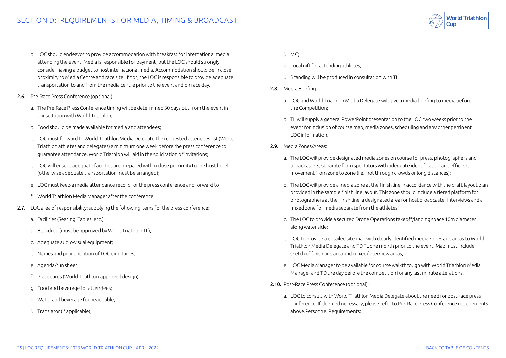- b. LOC should endeavor to provide accommodation with breakfast for international media attending the event. Media is responsible for payment, but the LOC should strongly consider having a budget to host international media. Accommodation should be in close proximity to Media Centre and race site. If not, the LOC is responsible to provide adequate transportation to and from the media centre prior to the event and on race day.
- 2.6. Pre-Race Press Conference (optional):
	- a. The Pre-Race Press Conference timing will be determined 30 days out from the event in consultation with World Triathlon;
	- b. Food should be made available for media and attendees;
	- c. LOC must forward to World Triathlon Media Delegate the requested attendees list (World Triathlon athletes and delegates) a minimum one week before the press conference to guarantee attendance. World Triathlon will aid in the solicitation of invitations;
	- d. LOC will ensure adequate facilities are prepared within close proximity to the host hotel (otherwise adequate transportation must be arranged);
	- e. LOC must keep a media attendance record for the press conference and forward to
	- f. World Triathlon Media Manager after the conference.
- 2.7. LOC area of responsibility: supplying the following items for the press conference:
	- a. Facilities (Seating, Tables, etc.);
	- b. Backdrop (must be approved by World Triathlon TL);
	- c. Adequate audio-visual equipment;
	- d. Names and pronunciation of LOC dignitaries;
	- e. Agenda/run sheet;
	- f. Place cards (World Triathlon-approved design);
	- g. Food and beverage for attendees;
	- h. Water and beverage for head table;
	- i. Translator (if applicable);

#### j. MC;

- k. Local gift for attending athletes;
- l. Branding will be produced in consultation with TL.
- 2.8. Media Briefing:
	- a. LOC and World Triathlon Media Delegate will give a media briefing to media before the Competition;
	- b. TL will supply a general PowerPoint presentation to the LOC two weeks prior to the event for inclusion of course map, media zones, scheduling and any other pertinent LOC information.
- 2.9. Media Zones/Areas:
	- a. The LOC will provide designated media zones on course for press, photographers and broadcasters, separate from spectators with adequate identification and efficient movement from zone to zone (i.e., not through crowds or long distances);
	- b. The LOC will provide a media zone at the finish line in accordance with the draft layout plan provided in the sample finish line layout. This zone should include a tiered platform for photographers at the finish line, a designated area for host broadcaster interviews and a mixed zone for media separate from the athletes;
	- c. The LOC to provide a secured Drone Operations takeoff/landing space 10m diameter along water side;
	- d. LOC to provide a detailed site map with clearly identified media zones and areas to World Triathlon Media Delegate and TD TL one month prior to the event. Map must include sketch of finish line area and mixed/interview areas;
	- e. LOC Media Manager to be available for course walkthrough with World Triathlon Media Manager and TD the day before the competition for any last minute alterations.
- 2.10. Post-Race Press Conference (optional):
	- a. LOC to consult with World Triathlon Media Delegate about the need for post-race press conference. If deemed necessary, please refer to Pre-Race Press Conference requirements above.Personnel Requirements:

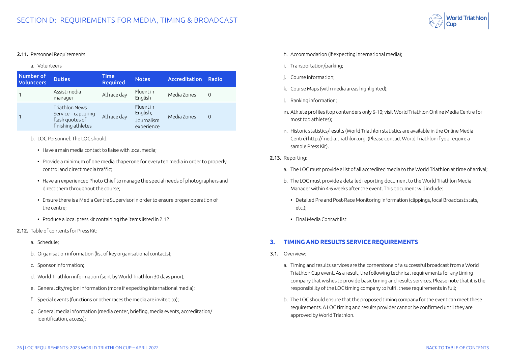

#### <span id="page-25-0"></span>2.11. Personnel Requirements

#### a. Volunteers

| Number of<br><b>Volunteers</b> | <b>Duties</b>                                                                         | <b>Time</b><br><b>Required</b> | <b>Notes</b>                                            | Accreditation | Radio    |
|--------------------------------|---------------------------------------------------------------------------------------|--------------------------------|---------------------------------------------------------|---------------|----------|
|                                | Assist media<br>manager                                                               | All race day                   | <b>Fluentin</b><br>English                              | Media Zones   | $\Omega$ |
|                                | <b>Triathlon News</b><br>Service – capturing<br>flash quotes of<br>finishing athletes | All race day                   | <b>Fluentin</b><br>English;<br>Journalism<br>experience | Media Zones   | $\Omega$ |

- b. LOC Personnel: The LOC should:
	- Have a main media contact to liaise with local media;
	- Provide a minimum of one media chaperone for every ten media in order to properly control and direct media traffic;
	- Have an experienced Photo Chief to manage the special needs of photographers and direct them throughout the course;
	- Ensure there is a Media Centre Supervisor in order to ensure proper operation of the centre;
	- Produce a local press kit containing the items listed in 2.12.
- 2.12. Table of contents for Press Kit:
	- a. Schedule;
	- b. Organisation information (list of key organisational contacts);
	- c. Sponsor information;
	- d. World Triathlon information (sent by World Triathlon 30 days prior);
	- e. General city/region information (more if expecting international media);
	- f. Special events (functions or other races the media are invited to);
	- g. General media information (media center, briefing, media events, accreditation/ identification, access);
- h. Accommodation (if expecting international media);
- i. Transportation/parking;
- j. Course information;
- k. Course Maps (with media areas highlighted);
- l. Ranking information;
- m. Athlete profiles (top contenders only 6-10; visit World Triathlon Online Media Centre for most top athletes);
- n. Historic statistics/results (World Triathlon statistics are available in the Online Media Centre) http://media.triathlon.org. (Please contact World Triathlon if you require a sample Press Kit).
- 2.13. Reporting:
	- a. The LOC must provide a list of all accredited media to the World Triathlon at time of arrival;
	- b. The LOC must provide a detailed reporting document to the World Triathlon Media Manager within 4-6 weeks after the event. This document will include:
		- Detailed Pre and Post-Race Monitoring information (clippings, local Broadcast stats, etc.);
		- Final Media Contact list

#### **3. TIMING AND RESULTS SERVICE REQUIREMENTS**

- 3.1. Overview:
	- a. Timing and results services are the cornerstone of a successful broadcast from a World Triathlon Cup event. As a result, the following technical requirements for any timing company that wishes to provide basic timing and results services. Please note that it is the responsibility of the LOC timing company to fulfil these requirements in full;
	- b. The LOC should ensure that the proposed timing company for the event can meet these requirements. A LOC timing and results provider cannot be confirmed until they are approved by World Triathlon.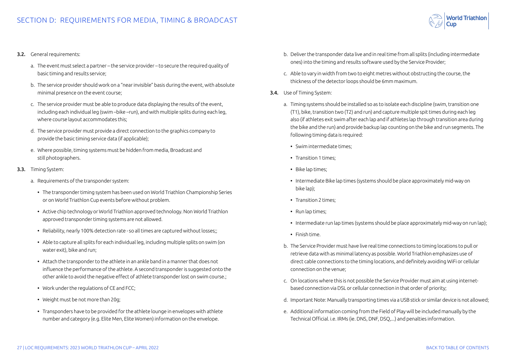

- a. The event must select a partner the service provider to secure the required quality of basic timing and results service;
- b. The service provider should work on a "near invisible" basis during the event, with absolute minimal presence on the event course;
- c. The service provider must be able to produce data displaying the results of the event, including each individual leg (swim –bike –run), and with multiple splits during each leg, where course layout accommodates this;
- d. The service provider must provide a direct connection to the graphics company to provide the basic timing service data (if applicable);
- e. Where possible, timing systems must be hidden from media, Broadcast and still photographers.
- 3.3. Timing System:
	- a. Requirements of the transponder system:
		- The transponder timing system has been used on World Triathlon Championship Series or on World Triathlon Cup events before without problem.
		- Active chip technology or World Triathlon approved technology. Non World Triathlon approved transponder timing systems are not allowed.
		- Reliability, nearly 100% detection rate so all times are captured without losses;;
		- Able to capture all splits for each individual leg, including multiple splits on swim (on water exit), bike and run;
		- Attach the transponder to the athlete in an ankle band in a manner that does not influence the performance of the athlete. A second transponder is suggested onto the other ankle to avoid the negative effect of athlete transponder lost on swim course.;
		- Work under the regulations of CE and FCC;
		- Weight must be not more than 20g;
		- Transponders have to be provided for the athlete lounge in envelopes with athlete number and category (e.g. Elite Men, Elite Women) information on the envelope.
- b. Deliver the transponder data live and in real time from all splits (including intermediate ones) into the timing and results software used by the Service Provider;
- c. Able to vary in width from two to eight metres without obstructing the course, the thickness of the detector loops should be 6mm maximum.
- 3.4. Use of Timing System:
	- a. Timing systems should be installed so as to isolate each discipline (swim, transition one (T1), bike, transition two (T2) and run) and capture multiple spit times during each leg also (if athletes exit swim after each lap and if athletes lap through transition area during the bike and the run) and provide backup lap counting on the bike and run segments. The following timing data is required:
		- Swim intermediate times;
		- Transition 1 times;
		- Bike lap times;
		- Intermediate Bike lap times (systems should be place approximately mid-way on bike lap);
		- Transition 2 times;
		- Run lap times;
		- Intermediate run lap times (systems should be place approximately mid-way on run lap);
		- Finish time.
	- b. The Service Provider must have live real time connections to timing locations to pull or retrieve data with as minimal latency as possible. World Triathlon emphasizes use of direct cable connections to the timing locations, and definitely avoiding WiFi or cellular connection on the venue;
	- c. On locations where this is not possible the Service Provider must aim at using internetbased connection via DSL or cellular connection in that order of priority;
	- d. Important Note: Manually transporting times via a USB stick or similar device is not allowed;
	- e. Additional information coming from the Field of Play will be included manually by the Technical Official. i.e. IRMs (ie. DNS, DNF, DSQ,...) and penalties information.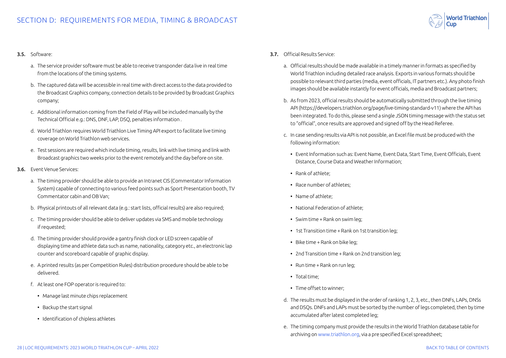

#### 3.5. Software:

- a. The service provider software must be able to receive transponder data live in real time from the locations of the timing systems.
- b. The captured data will be accessible in real time with direct access to the data provided to the Broadcast Graphics company, connection details to be provided by Broadcast Graphics company;
- c. Additional information coming from the Field of Play will be included manually by the Technical Official e.g.: DNS, DNF, LAP, DSQ, penalties information .
- d. World Triathlon requires World Triathlon Live Timing API export to facilitate live timing coverage on World Triathlon web services.
- e. Test sessions are required which include timing, results, link with live timing and link with Broadcast graphics two weeks prior to the event remotely and the day before on site.
- 3.6. Event Venue Services:
	- a. The timing provider should be able to provide an Intranet CIS (Commentator Information System) capable of connecting to various feed points such as Sport Presentation booth, TV Commentator cabin and OB Van;
	- b. Physical printouts of all relevant data (e.g.: start lists, official results) are also required;
	- c. The timing provider should be able to deliver updates via SMS and mobile technology if requested;
	- d. The timing provider should provide a gantry finish clock or LED screen capable of displaying time and athlete data such as name, nationality, category etc., an electronic lap counter and scoreboard capable of graphic display.
	- e. A printed results (as per Competition Rules) distribution procedure should be able to be delivered.
	- f. At least one FOP operator is required to:
		- Manage last minute chips replacement
		- Backup the start signal
		- Identification of chipless athletes
- 3.7. Official Results Service:
	- a. Official results should be made available in a timely manner in formats as specified by World Triathlon including detailed race analysis. Exports in various formats should be possible to relevant third parties (media, event officials, IT partners etc.). Any photo finish images should be available instantly for event officials, media and Broadcast partners;
	- b. As from 2023, official results should be automatically submitted through the live timing API (https://developers.triathlon.org/page/live-timing-standard-v11) where the API has been integrated. To do this, please send a single JSON timing message with the status set to "official", once results are approved and signed off by the Head Referee.
	- c. In case sending results via API is not possible, an Excel file must be produced with the following information:
		- Event Information such as: Event Name, Event Data, Start Time, Event Officials, Event Distance, Course Data and Weather Information;
		- Rank of athlete;
		- Race number of athletes;
		- Name of athlete;
		- National Federation of athlete;
		- Swim time + Rank on swim leg;
		- 1st Transition time + Rank on 1st transition leg;
		- Bike time + Rank on bike leg;
		- 2nd Transition time + Rank on 2nd transition leg;
		- Run time + Rank on run leg;
		- Total time;
		- Time offset to winner;
	- d. The results must be displayed in the order of ranking 1, 2, 3, etc., then DNFs, LAPs, DNSs and DSQs. DNFs and LAPs must be sorted by the number of legs completed, then by time accumulated after latest completed leg;
	- e. The timing company must provide the results in the World Triathlon database table for archiving on [www.triathlon.org](http://www.triathlon.org), via a pre specified Excel spreadsheet;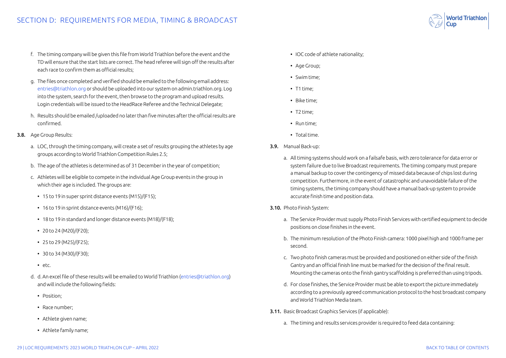- f. The timing company will be given this file from World Triathlon before the event and the TD will ensure that the start lists are correct. The head referee will sign off the results after each race to confirm them as official results;
- g. The files once completed and verified should be emailed to the following email address: [entries@triathlon.org](mailto:entries%40triathlon.org?subject=) or should be uploaded into our system on admin.triathlon.org. Log into the system, search for the event, then browse to the program and upload results. Login credentials will be issued to the HeadRace Referee and the Technical Delegate;
- h. Results should be emailed /uploaded no later than five minutes after the official results are confirmed.
- 3.8. Age Group Results:
	- a. LOC, through the timing company, will create a set of results grouping the athletes by age groups according to World Triathlon Competition Rules 2.5;
	- b. The age of the athletes is determined as of 31 December in the year of competition;
	- c. Athletes will be eligible to compete in the individual Age Group events in the group in which their age is included. The groups are:
		- 15 to 19 in super sprint distance events (M15)/(F15);
		- 16 to 19 in sprint distance events (M16)/(F16);
		- 18 to 19 in standard and longer distance events (M18)/(F18);
		- 20 to 24 (M20)/(F20);
		- 25 to 29 (M25)/(F25);
		- 30 to 34 (M30)/(F30);
		- etc.
	- d. d. An excel file of these results will be emailed to World Triathlon ([entries@triathlon.org](mailto:entries%40triathlon.org?subject=)) and will include the following fields:
		- Position:
		- Race number;
		- Athlete given name;
		- Athlete family name;
- IOC code of athlete nationality;
- Age Group;
- Swim time;
- T1 time;
- Bike time;
- T2 time;
- Run time;
- Total time.
- 3.9. Manual Back-up:
	- a. All timing systems should work on a failsafe basis, with zero tolerance for data error or system failure due to live Broadcast requirements. The timing company must prepare a manual backup to cover the contingency of missed data because of chips lost during competition. Furthermore, in the event of catastrophic and unavoidable failure of the timing systems, the timing company should have a manual back-up system to provide accurate finish time and position data.
- 3.10. Photo Finish System:
	- a. The Service Provider must supply Photo Finish Services with certified equipment to decide positions on close finishes in the event.
	- b. The minimum resolution of the Photo Finish camera: 1000 pixel high and 1000 frame per second.
	- c. Two photo finish cameras must be provided and positioned on either side of the finish Gantry and an official finish line must be marked for the decision of the final result. Mounting the cameras onto the finish gantry scaffolding is preferred than using tripods.
	- d. For close finishes, the Service Provider must be able to export the picture immediately according to a previously agreed communication protocol to the host broadcast company and World Triathlon Media team.
- 3.11. Basic Broadcast Graphics Services (if applicable):
	- a. The timing and results services provider is required to feed data containing: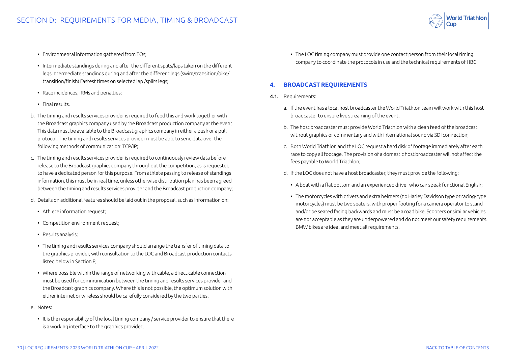

- <span id="page-29-0"></span>• Environmental information gathered from TOs;
- Intermediate standings during and after the different splits/laps taken on the different legs Intermediate standings during and after the different legs (swim/transition/bike/ transition/finish) Fastest times on selected lap /splits legs;
- Race incidences, IRMs and penalties;
- Final results.
- b. The timing and results services provider is required to feed this and work together with the Broadcast graphics company used by the Broadcast production company at the event. This data must be available to the Broadcast graphics company in either a push or a pull protocol. The timing and results services provider must be able to send data over the following methods of communication: TCP/IP;
- c. The timing and results services provider is required to continuously review data before release to the Broadcast graphics company throughout the competition, as is requested to have a dedicated person for this purpose. From athlete passing to release of standings information, this must be in real time, unless otherwise distribution plan has been agreed between the timing and results services provider and the Broadcast production company;
- d. Details on additional features should be laid out in the proposal, such as information on:
	- Athlete information request;
	- Competition environment request;
	- Results analysis;
	- The timing and results services company should arrange the transfer of timing data to the graphics provider, with consultation to the LOC and Broadcast production contacts listed below in Section E;
	- Where possible within the range of networking with cable, a direct cable connection must be used for communication between the timing and results services provider and the Broadcast graphics company. Where this is not possible, the optimum solution with either internet or wireless should be carefully considered by the two parties.
- e. Notes:
	- It is the responsibility of the local timing company / service provider to ensure that there is a working interface to the graphics provider;

• The LOC timing company must provide one contact person from their local timing company to coordinate the protocols in use and the technical requirements of HBC.

#### **4. BROADCAST REQUIREMENTS**

- 4.1. Requirements:
	- a. If the event has a local host broadcaster the World Triathlon team will work with this host broadcaster to ensure live streaming of the event.
	- b. The host broadcaster must provide World Triathlon with a clean feed of the broadcast without graphics or commentary and with international sound via SDI connection;
	- c. Both World Triathlon and the LOC request a hard disk of footage immediately after each race to copy all footage. The provision of a domestic host broadcaster will not affect the fees payable to World Triathlon;
	- d. If the LOC does not have a host broadcaster, they must provide the following:
		- A boat with a flat bottom and an experienced driver who can speak functional English;
		- The motorcycles with drivers and extra helmets (no Harley Davidson type or racing-type motorcycles) must be two seaters, with proper footing for a camera operator to stand and/or be seated facing backwards and must be a road bike. Scooters or similar vehicles are not acceptable as they are underpowered and do not meet our safety requirements. BMW bikes are ideal and meet all requirements.